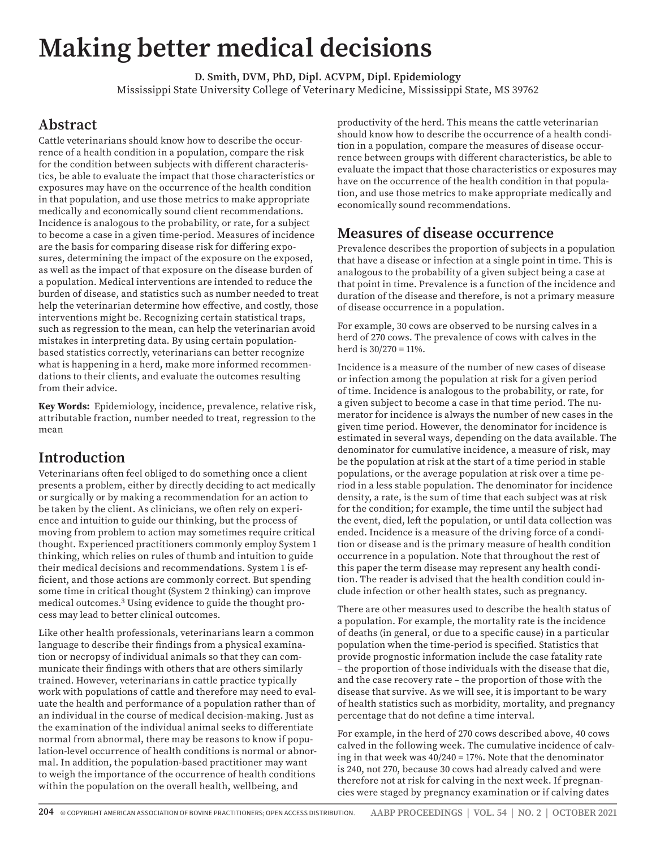# **Making better medical decisions**

**D. Smith, DVM, PhD, Dipl. ACVPM, Dipl. Epidemiology** Mississippi State University College of Veterinary Medicine, Mississippi State, MS 39762

### **Abstract**

Cattle veterinarians should know how to describe the occurrence of a health condition in a population, compare the risk for the condition between subjects with different characteristics, be able to evaluate the impact that those characteristics or exposures may have on the occurrence of the health condition in that population, and use those metrics to make appropriate medically and economically sound client recommendations. Incidence is analogous to the probability, or rate, for a subject to become a case in a given time-period. Measures of incidence are the basis for comparing disease risk for differing exposures, determining the impact of the exposure on the exposed, as well as the impact of that exposure on the disease burden of a population. Medical interventions are intended to reduce the burden of disease, and statistics such as number needed to treat help the veterinarian determine how effective, and costly, those interventions might be. Recognizing certain statistical traps, such as regression to the mean, can help the veterinarian avoid mistakes in interpreting data. By using certain populationbased statistics correctly, veterinarians can better recognize what is happening in a herd, make more informed recommendations to their clients, and evaluate the outcomes resulting from their advice.

**Key Words:** Epidemiology, incidence, prevalence, relative risk, attributable fraction, number needed to treat, regression to the mean

# **Introduction**

Veterinarians often feel obliged to do something once a client presents a problem, either by directly deciding to act medically or surgically or by making a recommendation for an action to be taken by the client. As clinicians, we often rely on experience and intuition to guide our thinking, but the process of moving from problem to action may sometimes require critical thought. Experienced practitioners commonly employ System 1 thinking, which relies on rules of thumb and intuition to guide their medical decisions and recommendations. System 1 is efficient, and those actions are commonly correct. But spending some time in critical thought (System 2 thinking) can improve medical outcomes.3 Using evidence to guide the thought process may lead to better clinical outcomes.

Like other health professionals, veterinarians learn a common language to describe their findings from a physical examination or necropsy of individual animals so that they can communicate their findings with others that are others similarly trained. However, veterinarians in cattle practice typically work with populations of cattle and therefore may need to evaluate the health and performance of a population rather than of an individual in the course of medical decision-making. Just as the examination of the individual animal seeks to differentiate normal from abnormal, there may be reasons to know if population-level occurrence of health conditions is normal or abnormal. In addition, the population-based practitioner may want to weigh the importance of the occurrence of health conditions within the population on the overall health, wellbeing, and

productivity of the herd. This means the cattle veterinarian should know how to describe the occurrence of a health condition in a population, compare the measures of disease occurrence between groups with different characteristics, be able to evaluate the impact that those characteristics or exposures may have on the occurrence of the health condition in that population, and use those metrics to make appropriate medically and economically sound recommendations.

### **Measures of disease occurrence**

Prevalence describes the proportion of subjects in a population that have a disease or infection at a single point in time. This is analogous to the probability of a given subject being a case at that point in time. Prevalence is a function of the incidence and duration of the disease and therefore, is not a primary measure of disease occurrence in a population.

For example, 30 cows are observed to be nursing calves in a herd of 270 cows. The prevalence of cows with calves in the herd is 30/270 = 11%.

Incidence is a measure of the number of new cases of disease or infection among the population at risk for a given period of time. Incidence is analogous to the probability, or rate, for a given subject to become a case in that time period. The numerator for incidence is always the number of new cases in the given time period. However, the denominator for incidence is estimated in several ways, depending on the data available. The denominator for cumulative incidence, a measure of risk, may be the population at risk at the start of a time period in stable populations, or the average population at risk over a time period in a less stable population. The denominator for incidence density, a rate, is the sum of time that each subject was at risk for the condition; for example, the time until the subject had the event, died, left the population, or until data collection was ended. Incidence is a measure of the driving force of a condition or disease and is the primary measure of health condition occurrence in a population. Note that throughout the rest of this paper the term disease may represent any health condition. The reader is advised that the health condition could include infection or other health states, such as pregnancy.

There are other measures used to describe the health status of a population. For example, the mortality rate is the incidence of deaths (in general, or due to a specific cause) in a particular population when the time-period is specified. Statistics that provide prognostic information include the case fatality rate – the proportion of those individuals with the disease that die, and the case recovery rate – the proportion of those with the disease that survive. As we will see, it is important to be wary of health statistics such as morbidity, mortality, and pregnancy percentage that do not define a time interval.

For example, in the herd of 270 cows described above, 40 cows calved in the following week. The cumulative incidence of calving in that week was 40/240 = 17%. Note that the denominator is 240, not 270, because 30 cows had already calved and were therefore not at risk for calving in the next week. If pregnancies were staged by pregnancy examination or if calving dates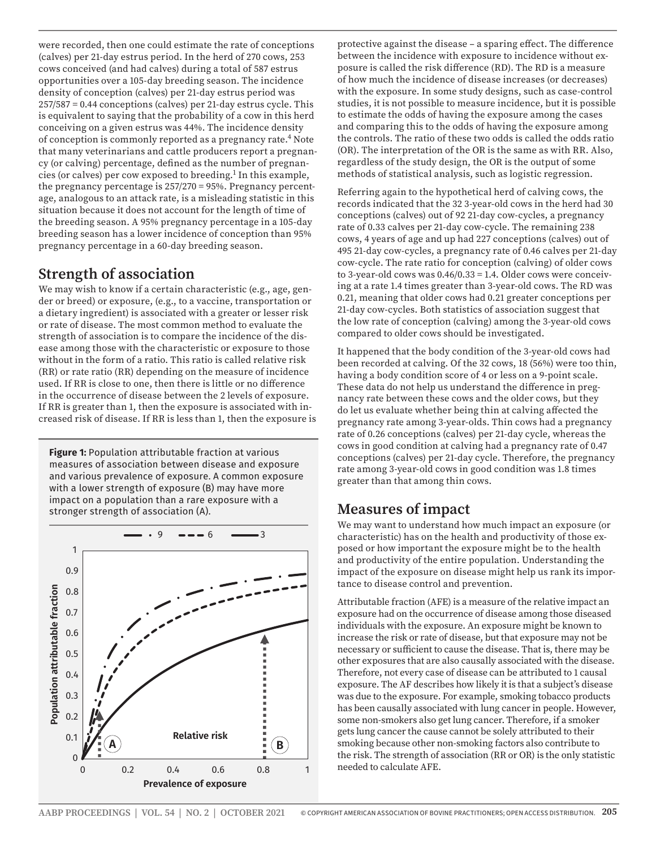were recorded, then one could estimate the rate of conceptions (calves) per 21-day estrus period. In the herd of 270 cows, 253 cows conceived (and had calves) during a total of 587 estrus opportunities over a 105-day breeding season. The incidence density of conception (calves) per 21-day estrus period was 257/587 = 0.44 conceptions (calves) per 21-day estrus cycle. This is equivalent to saying that the probability of a cow in this herd conceiving on a given estrus was 44%. The incidence density of conception is commonly reported as a pregnancy rate.4 Note that many veterinarians and cattle producers report a pregnancy (or calving) percentage, defined as the number of pregnancies (or calves) per cow exposed to breeding.<sup>1</sup> In this example, the pregnancy percentage is 257/270 = 95%. Pregnancy percentage, analogous to an attack rate, is a misleading statistic in this situation because it does not account for the length of time of the breeding season. A 95% pregnancy percentage in a 105-day breeding season has a lower incidence of conception than 95% pregnancy percentage in a 60-day breeding season.

### **Strength of association**

We may wish to know if a certain characteristic (e.g., age, gender or breed) or exposure, (e.g., to a vaccine, transportation or a dietary ingredient) is associated with a greater or lesser risk or rate of disease. The most common method to evaluate the strength of association is to compare the incidence of the disease among those with the characteristic or exposure to those without in the form of a ratio. This ratio is called relative risk (RR) or rate ratio (RR) depending on the measure of incidence used. If RR is close to one, then there is little or no difference in the occurrence of disease between the 2 levels of exposure. If RR is greater than 1, then the exposure is associated with increased risk of disease. If RR is less than 1, then the exposure is

**Figure 1:** Population attributable fraction at various measures of association between disease and exposure and various prevalence of exposure. A common exposure with a lower strength of exposure (B) may have more impact on a population than a rare exposure with a stronger strength of association (A).



protective against the disease – a sparing effect. The difference between the incidence with exposure to incidence without exposure is called the risk difference (RD). The RD is a measure of how much the incidence of disease increases (or decreases) with the exposure. In some study designs, such as case-control studies, it is not possible to measure incidence, but it is possible to estimate the odds of having the exposure among the cases and comparing this to the odds of having the exposure among the controls. The ratio of these two odds is called the odds ratio (OR). The interpretation of the OR is the same as with RR. Also, regardless of the study design, the OR is the output of some methods of statistical analysis, such as logistic regression.

Referring again to the hypothetical herd of calving cows, the records indicated that the 32 3-year-old cows in the herd had 30 conceptions (calves) out of 92 21-day cow-cycles, a pregnancy rate of 0.33 calves per 21-day cow-cycle. The remaining 238 cows, 4 years of age and up had 227 conceptions (calves) out of 495 21-day cow-cycles, a pregnancy rate of 0.46 calves per 21-day cow-cycle. The rate ratio for conception (calving) of older cows to 3-year-old cows was 0.46/0.33 = 1.4. Older cows were conceiving at a rate 1.4 times greater than 3-year-old cows. The RD was 0.21, meaning that older cows had 0.21 greater conceptions per 21-day cow-cycles. Both statistics of association suggest that the low rate of conception (calving) among the 3-year-old cows compared to older cows should be investigated.

It happened that the body condition of the 3-year-old cows had been recorded at calving. Of the 32 cows, 18 (56%) were too thin, having a body condition score of 4 or less on a 9-point scale. These data do not help us understand the difference in pregnancy rate between these cows and the older cows, but they do let us evaluate whether being thin at calving affected the pregnancy rate among 3-year-olds. Thin cows had a pregnancy rate of 0.26 conceptions (calves) per 21-day cycle, whereas the cows in good condition at calving had a pregnancy rate of 0.47 conceptions (calves) per 21-day cycle. Therefore, the pregnancy rate among 3-year-old cows in good condition was 1.8 times greater than that among thin cows.

# **Measures of impact**

We may want to understand how much impact an exposure (or characteristic) has on the health and productivity of those exposed or how important the exposure might be to the health and productivity of the entire population. Understanding the impact of the exposure on disease might help us rank its importance to disease control and prevention.

Attributable fraction (AFE) is a measure of the relative impact an exposure had on the occurrence of disease among those diseased individuals with the exposure. An exposure might be known to increase the risk or rate of disease, but that exposure may not be necessary or sufficient to cause the disease. That is, there may be other exposures that are also causally associated with the disease. Therefore, not every case of disease can be attributed to 1 causal exposure. The AF describes how likely it is that a subject's disease was due to the exposure. For example, smoking tobacco products has been causally associated with lung cancer in people. However, some non-smokers also get lung cancer. Therefore, if a smoker gets lung cancer the cause cannot be solely attributed to their smoking because other non-smoking factors also contribute to the risk. The strength of association (RR or OR) is the only statistic needed to calculate AFE.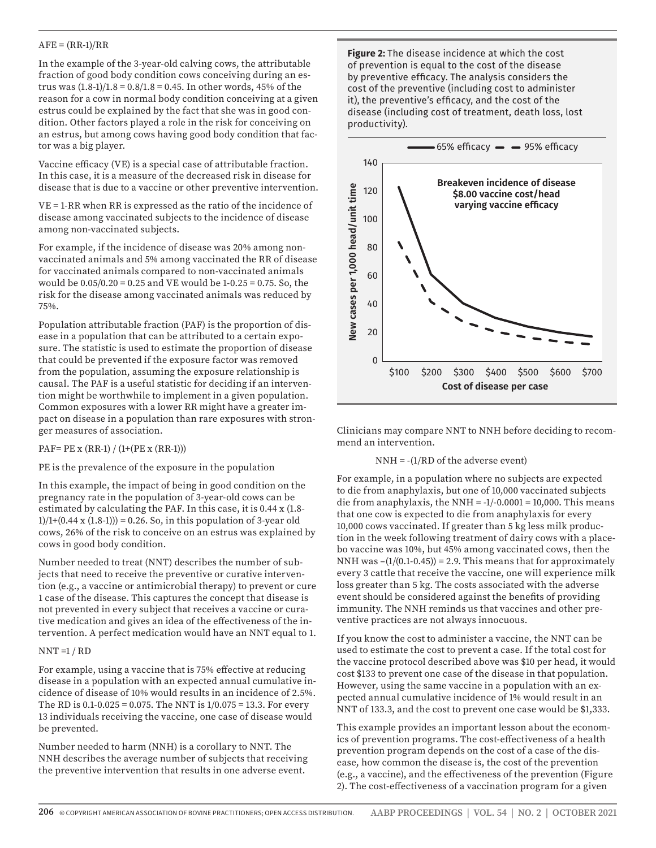#### $AFE = (RR-1)/RR$

In the example of the 3-year-old calving cows, the attributable fraction of good body condition cows conceiving during an estrus was  $(1.8-1)/1.8 = 0.8/1.8 = 0.45$ . In other words, 45% of the reason for a cow in normal body condition conceiving at a given estrus could be explained by the fact that she was in good condition. Other factors played a role in the risk for conceiving on an estrus, but among cows having good body condition that factor was a big player.

Vaccine efficacy (VE) is a special case of attributable fraction. In this case, it is a measure of the decreased risk in disease for disease that is due to a vaccine or other preventive intervention.

VE = 1-RR when RR is expressed as the ratio of the incidence of disease among vaccinated subjects to the incidence of disease among non-vaccinated subjects.

For example, if the incidence of disease was 20% among nonvaccinated animals and 5% among vaccinated the RR of disease for vaccinated animals compared to non-vaccinated animals would be 0.05/0.20 = 0.25 and VE would be 1-0.25 = 0.75. So, the risk for the disease among vaccinated animals was reduced by 75%.

Population attributable fraction (PAF) is the proportion of disease in a population that can be attributed to a certain exposure. The statistic is used to estimate the proportion of disease that could be prevented if the exposure factor was removed from the population, assuming the exposure relationship is causal. The PAF is a useful statistic for deciding if an intervention might be worthwhile to implement in a given population. Common exposures with a lower RR might have a greater impact on disease in a population than rare exposures with stronger measures of association.

PAF= PE x (RR-1) / (1+(PE x (RR-1)))

PE is the prevalence of the exposure in the population

In this example, the impact of being in good condition on the pregnancy rate in the population of 3-year-old cows can be estimated by calculating the PAF. In this case, it is 0.44 x (1.8-  $1/(1+(0.44 \times (1.8-1))) = 0.26$ . So, in this population of 3-year old cows, 26% of the risk to conceive on an estrus was explained by cows in good body condition.

Number needed to treat (NNT) describes the number of subjects that need to receive the preventive or curative intervention (e.g., a vaccine or antimicrobial therapy) to prevent or cure 1 case of the disease. This captures the concept that disease is not prevented in every subject that receives a vaccine or curative medication and gives an idea of the effectiveness of the intervention. A perfect medication would have an NNT equal to 1.

#### $NNT = 1 / RD$

For example, using a vaccine that is 75% effective at reducing disease in a population with an expected annual cumulative incidence of disease of 10% would results in an incidence of 2.5%. The RD is 0.1-0.025 = 0.075. The NNT is 1/0.075 = 13.3. For every 13 individuals receiving the vaccine, one case of disease would be prevented.

Number needed to harm (NNH) is a corollary to NNT. The NNH describes the average number of subjects that receiving the preventive intervention that results in one adverse event.

**Figure 2:** The disease incidence at which the cost of prevention is equal to the cost of the disease by preventive efficacy. The analysis considers the cost of the preventive (including cost to administer it), the preventive's efficacy, and the cost of the disease (including cost of treatment, death loss, lost productivity).



Clinicians may compare NNT to NNH before deciding to recommend an intervention.

#### NNH = -(1/RD of the adverse event)

For example, in a population where no subjects are expected to die from anaphylaxis, but one of 10,000 vaccinated subjects die from anaphylaxis, the NNH =  $-1/-0.0001 = 10,000$ . This means that one cow is expected to die from anaphylaxis for every 10,000 cows vaccinated. If greater than 5 kg less milk production in the week following treatment of dairy cows with a placebo vaccine was 10%, but 45% among vaccinated cows, then the NNH was  $-(1/(0.1-0.45)) = 2.9$ . This means that for approximately every 3 cattle that receive the vaccine, one will experience milk loss greater than 5 kg. The costs associated with the adverse event should be considered against the benefits of providing immunity. The NNH reminds us that vaccines and other preventive practices are not always innocuous.

If you know the cost to administer a vaccine, the NNT can be used to estimate the cost to prevent a case. If the total cost for the vaccine protocol described above was \$10 per head, it would cost \$133 to prevent one case of the disease in that population. However, using the same vaccine in a population with an expected annual cumulative incidence of 1% would result in an NNT of 133.3, and the cost to prevent one case would be \$1,333.

This example provides an important lesson about the economics of prevention programs. The cost-effectiveness of a health prevention program depends on the cost of a case of the disease, how common the disease is, the cost of the prevention (e.g., a vaccine), and the effectiveness of the prevention (Figure 2). The cost-effectiveness of a vaccination program for a given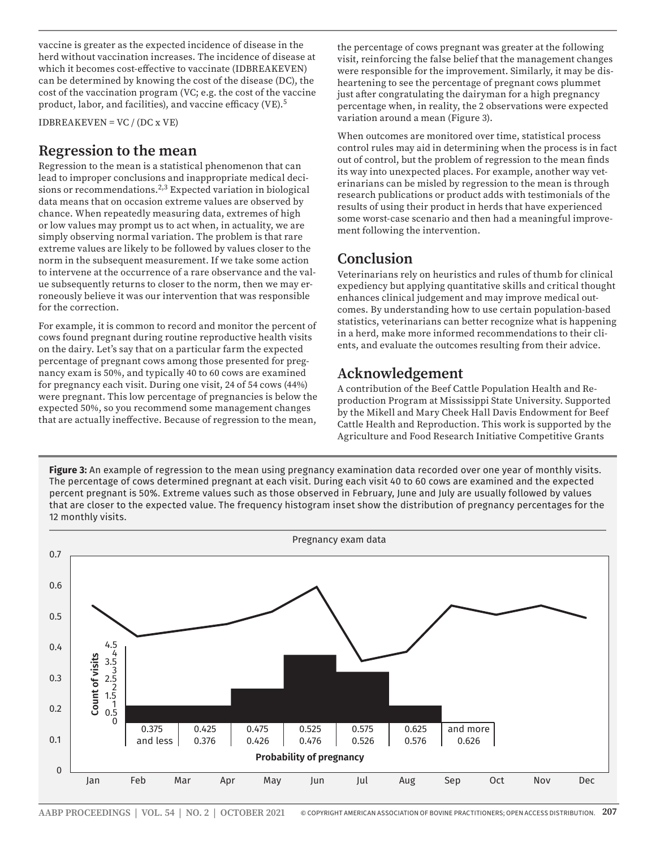vaccine is greater as the expected incidence of disease in the herd without vaccination increases. The incidence of disease at which it becomes cost-effective to vaccinate (IDBREAKEVEN) can be determined by knowing the cost of the disease (DC), the cost of the vaccination program (VC; e.g. the cost of the vaccine product, labor, and facilities), and vaccine efficacy (VE).<sup>5</sup>

IDBREAKEVEN =  $VC / (DC \times VE)$ 

## **Regression to the mean**

Regression to the mean is a statistical phenomenon that can lead to improper conclusions and inappropriate medical decisions or recommendations.2,3 Expected variation in biological data means that on occasion extreme values are observed by chance. When repeatedly measuring data, extremes of high or low values may prompt us to act when, in actuality, we are simply observing normal variation. The problem is that rare extreme values are likely to be followed by values closer to the norm in the subsequent measurement. If we take some action to intervene at the occurrence of a rare observance and the value subsequently returns to closer to the norm, then we may erroneously believe it was our intervention that was responsible for the correction.

For example, it is common to record and monitor the percent of cows found pregnant during routine reproductive health visits on the dairy. Let's say that on a particular farm the expected percentage of pregnant cows among those presented for pregnancy exam is 50%, and typically 40 to 60 cows are examined for pregnancy each visit. During one visit, 24 of 54 cows (44%) were pregnant. This low percentage of pregnancies is below the expected 50%, so you recommend some management changes that are actually ineffective. Because of regression to the mean,

the percentage of cows pregnant was greater at the following visit, reinforcing the false belief that the management changes were responsible for the improvement. Similarly, it may be disheartening to see the percentage of pregnant cows plummet just after congratulating the dairyman for a high pregnancy percentage when, in reality, the 2 observations were expected variation around a mean (Figure 3).

When outcomes are monitored over time, statistical process control rules may aid in determining when the process is in fact out of control, but the problem of regression to the mean finds its way into unexpected places. For example, another way veterinarians can be misled by regression to the mean is through research publications or product adds with testimonials of the results of using their product in herds that have experienced some worst-case scenario and then had a meaningful improvement following the intervention.

# **Conclusion**

Veterinarians rely on heuristics and rules of thumb for clinical expediency but applying quantitative skills and critical thought enhances clinical judgement and may improve medical outcomes. By understanding how to use certain population-based statistics, veterinarians can better recognize what is happening in a herd, make more informed recommendations to their clients, and evaluate the outcomes resulting from their advice.

# **Acknowledgement**

A contribution of the Beef Cattle Population Health and Reproduction Program at Mississippi State University. Supported by the Mikell and Mary Cheek Hall Davis Endowment for Beef Cattle Health and Reproduction. This work is supported by the Agriculture and Food Research Initiative Competitive Grants

**Figure 3:** An example of regression to the mean using pregnancy examination data recorded over one year of monthly visits. The percentage of cows determined pregnant at each visit. During each visit 40 to 60 cows are examined and the expected percent pregnant is 50%. Extreme values such as those observed in February, June and July are usually followed by values that are closer to the expected value. The frequency histogram inset show the distribution of pregnancy percentages for the 12 monthly visits.